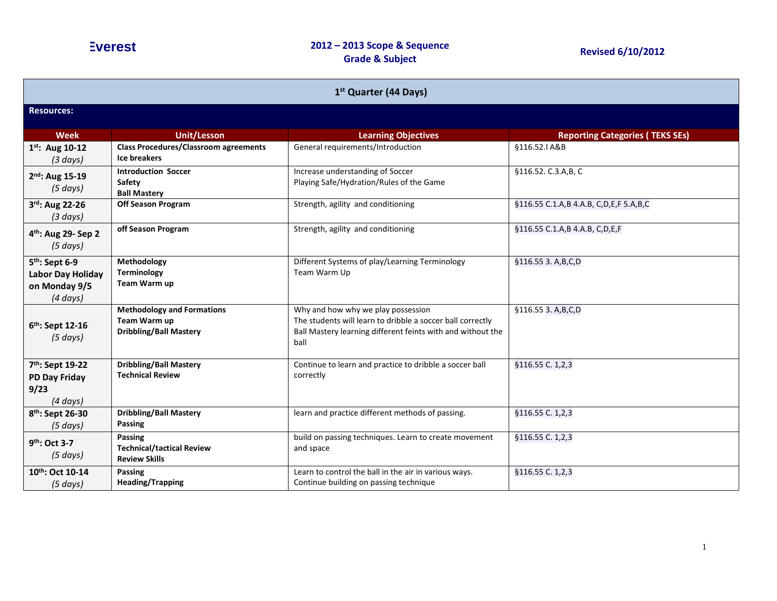| 1 <sup>st</sup> Quarter (44 Days)                                                        |                                                                                    |                                                                                                                                                                         |                                        |  |
|------------------------------------------------------------------------------------------|------------------------------------------------------------------------------------|-------------------------------------------------------------------------------------------------------------------------------------------------------------------------|----------------------------------------|--|
| <b>Resources:</b>                                                                        |                                                                                    |                                                                                                                                                                         |                                        |  |
| <b>Week</b>                                                                              | <b>Unit/Lesson</b>                                                                 | <b>Learning Objectives</b>                                                                                                                                              | <b>Reporting Categories (TEKS SEs)</b> |  |
| $1^{st}$ : Aug 10-12<br>$(3 \text{ days})$                                               | <b>Class Procedures/Classroom agreements</b><br><b>Ice breakers</b>                | General requirements/Introduction                                                                                                                                       | §116.52.1 A&B                          |  |
| $2^{nd}$ : Aug 15-19<br>(5 days)                                                         | <b>Introduction Soccer</b><br><b>Safety</b><br><b>Ball Mastery</b>                 | Increase understanding of Soccer<br>Playing Safe/Hydration/Rules of the Game                                                                                            | §116.52. C.3.A,B, C                    |  |
| 3rd: Aug 22-26<br>$(3 \text{ days})$                                                     | <b>Off Season Program</b>                                                          | Strength, agility and conditioning                                                                                                                                      | §116.55 C.1.A,B 4.A.B, C,D,E,F 5.A,B,C |  |
| 4 <sup>th</sup> : Aug 29- Sep 2<br>$(5 \, days)$                                         | off Season Program                                                                 | Strength, agility and conditioning                                                                                                                                      | §116.55 C.1.A,B 4.A.B, C,D,E,F         |  |
| 5 <sup>th</sup> : Sept 6-9<br><b>Labor Day Holiday</b><br>on Monday 9/5<br>$(4 \, days)$ | Methodology<br><b>Terminology</b><br>Team Warm up                                  | Different Systems of play/Learning Terminology<br>Team Warm Up                                                                                                          | §116.55 3. A, B, C, D                  |  |
| 6 <sup>th</sup> : Sept 12-16<br>$(5 \, days)$                                            | <b>Methodology and Formations</b><br>Team Warm up<br><b>Dribbling/Ball Mastery</b> | Why and how why we play possession<br>The students will learn to dribble a soccer ball correctly<br>Ball Mastery learning different feints with and without the<br>ball | §116.55 3. A, B, C, D                  |  |
| 7 <sup>th</sup> : Sept 19-22<br><b>PD Day Friday</b><br>9/23<br>$(4 \, days)$            | <b>Dribbling/Ball Mastery</b><br><b>Technical Review</b>                           | Continue to learn and practice to dribble a soccer ball<br>correctly                                                                                                    | §116.55 C. 1,2,3                       |  |
| 8 <sup>th</sup> : Sept 26-30<br>(5 days)                                                 | <b>Dribbling/Ball Mastery</b><br>Passing                                           | learn and practice different methods of passing.                                                                                                                        | §116.55 C. 1,2,3                       |  |
| 9th: Oct 3-7<br>$(5 \text{ days})$                                                       | Passing<br><b>Technical/tactical Review</b><br><b>Review Skills</b>                | build on passing techniques. Learn to create movement<br>and space                                                                                                      | §116.55 C. 1,2,3                       |  |
| 10th: Oct 10-14<br>(5 days)                                                              | Passing<br><b>Heading/Trapping</b>                                                 | Learn to control the ball in the air in various ways.<br>Continue building on passing technique                                                                         | §116.55 C. 1,2,3                       |  |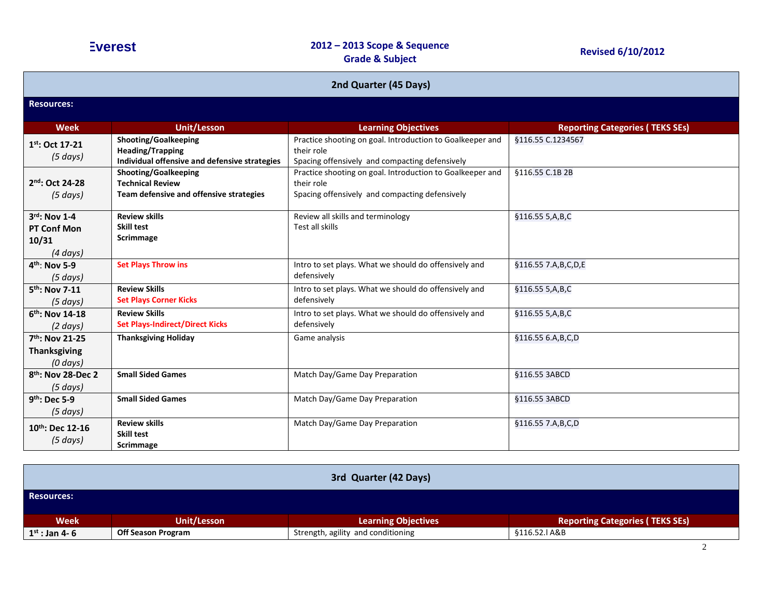| 2nd Quarter (45 Days)                                               |                                                                                                  |                                                                                                                           |                                        |
|---------------------------------------------------------------------|--------------------------------------------------------------------------------------------------|---------------------------------------------------------------------------------------------------------------------------|----------------------------------------|
| <b>Resources:</b>                                                   |                                                                                                  |                                                                                                                           |                                        |
| <b>Week</b>                                                         | <b>Unit/Lesson</b>                                                                               | <b>Learning Objectives</b>                                                                                                | <b>Reporting Categories (TEKS SEs)</b> |
| $1^{st}$ : Oct 17-21<br>$(5 \, days)$                               | Shooting/Goalkeeping<br><b>Heading/Trapping</b><br>Individual offensive and defensive strategies | Practice shooting on goal. Introduction to Goalkeeper and<br>their role<br>Spacing offensively and compacting defensively | §116.55 C.1234567                      |
| 2nd: Oct 24-28<br>$(5 \, days)$                                     | Shooting/Goalkeeping<br><b>Technical Review</b><br>Team defensive and offensive strategies       | Practice shooting on goal. Introduction to Goalkeeper and<br>their role<br>Spacing offensively and compacting defensively | §116.55 C.1B 2B                        |
| 3rd: Nov 1-4<br><b>PT Conf Mon</b><br>10/31<br>$(4 \, days)$        | <b>Review skills</b><br><b>Skill test</b><br>Scrimmage                                           | Review all skills and terminology<br>Test all skills                                                                      | §116.55 5,A,B,C                        |
| $4^{th}$ : Nov 5-9<br>$(5 \, days)$                                 | <b>Set Plays Throw ins</b>                                                                       | Intro to set plays. What we should do offensively and<br>defensively                                                      | §116.55 7.A, B, C, D, E                |
| 5 <sup>th</sup> : Nov 7-11<br>$(5 \text{ days})$                    | <b>Review Skills</b><br><b>Set Plays Corner Kicks</b>                                            | Intro to set plays. What we should do offensively and<br>defensively                                                      | §116.55 5,A,B,C                        |
| $6th$ : Nov 14-18<br>$(2 \text{ days})$                             | <b>Review Skills</b><br><b>Set Plays-Indirect/Direct Kicks</b>                                   | Intro to set plays. What we should do offensively and<br>defensively                                                      | §116.55 5,A,B,C                        |
| 7 <sup>th</sup> : Nov 21-25<br><b>Thanksgiving</b><br>$(0 \, days)$ | <b>Thanksgiving Holiday</b>                                                                      | Game analysis                                                                                                             | §116.55 6.A,B,C,D                      |
| 8 <sup>th</sup> : Nov 28-Dec 2<br>$(5 \, days)$                     | <b>Small Sided Games</b>                                                                         | Match Day/Game Day Preparation                                                                                            | §116.55 3ABCD                          |
| $9th$ : Dec 5-9<br>$(5 \, days)$                                    | <b>Small Sided Games</b>                                                                         | Match Day/Game Day Preparation                                                                                            | §116.55 3ABCD                          |
| 10th: Dec 12-16<br>$(5 \, days)$                                    | <b>Review skills</b><br><b>Skill test</b><br>Scrimmage                                           | Match Day/Game Day Preparation                                                                                            | §116.55 7.A,B,C,D                      |

| 3rd Quarter (42 Days) |                           |                                    |                                        |
|-----------------------|---------------------------|------------------------------------|----------------------------------------|
| <b>Resources:</b>     |                           |                                    |                                        |
| <b>Week</b>           | Unit/Lesson               | <b>Learning Objectives</b>         | <b>Reporting Categories (TEKS SEs)</b> |
| $1^{st}$ : Jan 4-6    | <b>Off Season Program</b> | Strength, agility and conditioning | §116.52.I A&B                          |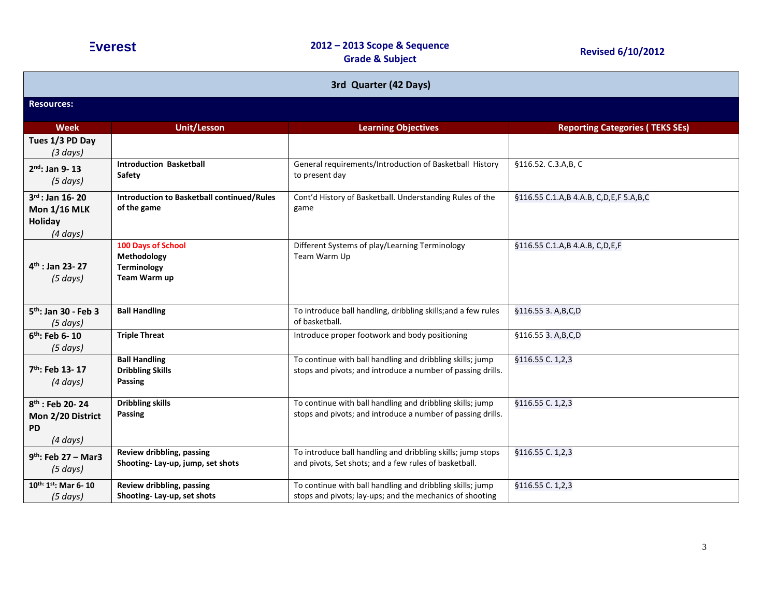| 3rd Quarter (42 Days)                                                          |                                                                         |                                                                                                                          |                                        |  |
|--------------------------------------------------------------------------------|-------------------------------------------------------------------------|--------------------------------------------------------------------------------------------------------------------------|----------------------------------------|--|
| <b>Resources:</b>                                                              |                                                                         |                                                                                                                          |                                        |  |
| <b>Week</b>                                                                    | <b>Unit/Lesson</b>                                                      | <b>Learning Objectives</b>                                                                                               | <b>Reporting Categories (TEKS SEs)</b> |  |
| Tues 1/3 PD Day<br>$(3 \text{ days})$                                          |                                                                         |                                                                                                                          |                                        |  |
| $2^{nd}$ : Jan 9-13<br>$(5 \, days)$                                           | <b>Introduction Basketball</b><br>Safety                                | General requirements/Introduction of Basketball History<br>to present day                                                | §116.52. C.3.A,B, C                    |  |
| $3^{rd}$ : Jan 16-20<br><b>Mon 1/16 MLK</b><br>Holiday<br>(4 days)             | <b>Introduction to Basketball continued/Rules</b><br>of the game        | Cont'd History of Basketball. Understanding Rules of the<br>game                                                         | §116.55 C.1.A,B 4.A.B, C,D,E,F 5.A,B,C |  |
| $4th$ : Jan 23-27<br>$(5 \, days)$                                             | 100 Days of School<br>Methodology<br><b>Terminology</b><br>Team Warm up | Different Systems of play/Learning Terminology<br>Team Warm Up                                                           | §116.55 C.1.A,B 4.A.B, C,D,E,F         |  |
| 5 <sup>th</sup> : Jan 30 - Feb 3<br>(5 days)                                   | <b>Ball Handling</b>                                                    | To introduce ball handling, dribbling skills; and a few rules<br>of basketball.                                          | §116.55 3. A, B, C, D                  |  |
| 6 <sup>th</sup> : Feb 6-10<br>$(5 \, days)$                                    | <b>Triple Threat</b>                                                    | Introduce proper footwork and body positioning                                                                           | §116.55 3. A, B, C, D                  |  |
| 7 <sup>th</sup> : Feb 13-17<br>$(4 \, days)$                                   | <b>Ball Handling</b><br><b>Dribbling Skills</b><br>Passing              | To continue with ball handling and dribbling skills; jump<br>stops and pivots; and introduce a number of passing drills. | §116.55 C. 1,2,3                       |  |
| 8 <sup>th</sup> : Feb 20-24<br>Mon 2/20 District<br><b>PD</b><br>$(4 \, days)$ | <b>Dribbling skills</b><br>Passing                                      | To continue with ball handling and dribbling skills; jump<br>stops and pivots; and introduce a number of passing drills. | §116.55 C. 1,2,3                       |  |
| $9^{th}$ : Feb 27 – Mar3<br>$(5 \, days)$                                      | Review dribbling, passing<br>Shooting-Lay-up, jump, set shots           | To introduce ball handling and dribbling skills; jump stops<br>and pivots, Set shots; and a few rules of basketball.     | §116.55 C. 1,2,3                       |  |
| $10^{th:}1^{st}$ : Mar 6-10<br>(5 days)                                        | Review dribbling, passing<br>Shooting-Lay-up, set shots                 | To continue with ball handling and dribbling skills; jump<br>stops and pivots; lay-ups; and the mechanics of shooting    | §116.55 C. 1,2,3                       |  |